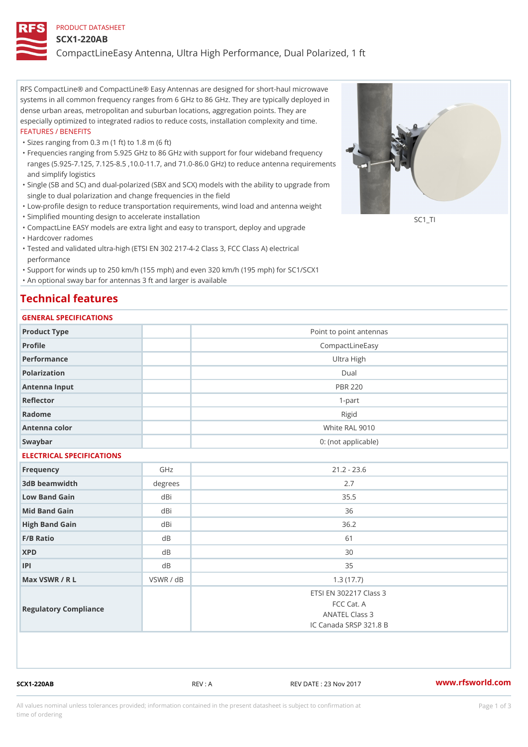### PRODUCT DATASHEET

#### SCX1-220AB

CompactLineEasy Antenna, Ultra High Performance, Dual Polarized, 1 ft

RFS CompactLine® and CompactLine® Easy Antennas are designed for short-haul microwave systems in all common frequency ranges from 6 GHz to 86 GHz. They are typically deployed in dense urban areas, metropolitan and suburban locations, aggregation points. They are especially optimized to integrated radios to reduce costs, installation complexity and time. FEATURES / BENEFITS

"Sizes ranging from 0.3 m (1 ft) to 1.8 m (6 ft)

- Frequencies ranging from 5.925 GHz to 86 GHz with support for four wideband frequency " ranges (5.925-7.125, 7.125-8.5 ,10.0-11.7, and 71.0-86.0 GHz) to reduce antenna requirements and simplify logistics
- Single (SB and SC) and dual-polarized (SBX and SCX) models with the ability to upgrade from " single to dual polarization and change frequencies in the field
- "Low-profile design to reduce transportation requirements, wind load and antenna weight
- "Simplified mounting design to accelerate installation

 "CompactLine EASY models are extra light and easy to transport, deploy and upgrade "Hardcover radomes

Tested and validated ultra-high (ETSI EN 302 217-4-2 Class 3, FCC Class A) electrical " performance

 "Support for winds up to 250 km/h (155 mph) and even 320 km/h (195 mph) for SC1/SCX1 "An optional sway bar for antennas 3 ft and larger is available

## Technical features

### GENERAL SPECIFICATIONS

| OLIVLINAL OI LOII IOA I IONO |                         |                        |  |  |  |
|------------------------------|-------------------------|------------------------|--|--|--|
| Product Type                 | Point to point antennas |                        |  |  |  |
| Profile                      |                         | CompactLineEasy        |  |  |  |
| Performance                  | Ultra High              |                        |  |  |  |
| Polarization                 | $D$ ual                 |                        |  |  |  |
| Antenna Input                |                         | <b>PBR 220</b>         |  |  |  |
| Reflector                    |                         | $1 - p$ art            |  |  |  |
| Radome                       |                         | Rigid                  |  |  |  |
| Antenna color                |                         | White RAL 9010         |  |  |  |
| Swaybar                      | 0: (not applicable)     |                        |  |  |  |
| ELECTRICAL SPECIFICATIONS    |                         |                        |  |  |  |
| Frequency                    | GHz                     | $21.2 - 23.6$          |  |  |  |
| 3dB beamwidth                | $degree$ :              | 2.7                    |  |  |  |
| Low Band Gain                | dBi                     | 35.5                   |  |  |  |
| Mid Band Gain                | dBi                     | 36                     |  |  |  |
| High Band Gain               | dBi                     | 36.2                   |  |  |  |
| F/B Ratio                    | dB                      | 61                     |  |  |  |
| <b>XPD</b>                   | d B                     | 30                     |  |  |  |
| P                            | d B                     | 35                     |  |  |  |
| Max VSWR / R L               | $VSWR$ / $dB$           | 1.3(17.7)              |  |  |  |
|                              |                         | ETSI EN 302217 Class 3 |  |  |  |
| Regulatory Compliance        |                         | FCC Cat. A             |  |  |  |
|                              |                         | ANATEL Class 3         |  |  |  |
|                              |                         | IC Canada SRSP 321.8 B |  |  |  |

SCX1-220AB REV : A REV DATE : 23 Nov 2017 [www.](https://www.rfsworld.com)rfsworld.com

SC<sub>1</sub>TI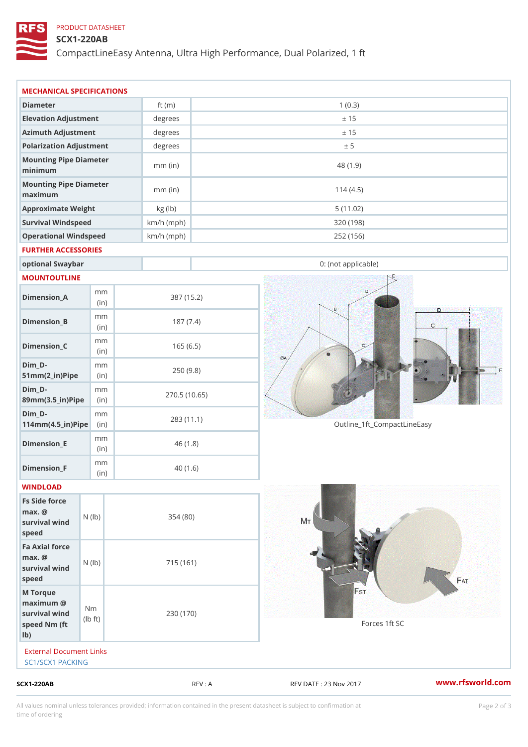## PRODUCT DATASHEET

## SCX1-220AB

CompactLineEasy Antenna, Ultra High Performance, Dual Polarized, 1 ft

| $SCX1 - 220AB$                                                     |                    |                       | REV : A      | REV DATE : 23 Nov 2017      | www.rfsworld.co |
|--------------------------------------------------------------------|--------------------|-----------------------|--------------|-----------------------------|-----------------|
| External Document Links<br>SC1/SCX1 PACKING                        |                    |                       |              |                             |                 |
| M Torque<br>$maximum$ @<br>survival wind<br>speed Nm (ft<br>$1b$ ) | N m<br>$ b $ $ t $ | 230 (170)             |              | Forces 1ft SC               |                 |
| Fa Axial force<br>$max.$ @<br>survival wind (1b)<br>speed          |                    | 715 (161)             |              |                             |                 |
| Fs Side force<br>$max.$ @<br>survival wind (1b)<br>speed           |                    | 354(80)               |              |                             |                 |
| WINDLOAD                                                           |                    |                       |              |                             |                 |
| $Dimension_F$                                                      | m m<br>(in)        |                       | 40(1.6)      |                             |                 |
| $Dimension$ $E$                                                    | m m<br>(i n)       |                       | 46(1.8)      |                             |                 |
| $Dim_D -$<br>$114$ m m (4.5 _ ir ) $\sqrt{$ ii p $\sqrt{ }$        | m m                | 283 (11.1)            |              | Outline_1ft_CompactLineEasy |                 |
| $Dim_D - D -$<br>89mm (3.5_in) Pi(pine)                            | m m                |                       | 270.5(10.65) |                             |                 |
| $Dim_D - D -$<br>$51mm(2_in)Pip@in$                                | m m                |                       | 250(9.8)     |                             |                 |
| $Dimension_C$                                                      | m m<br>(in)        |                       | 165(6.5)     |                             |                 |
| $Dimension_B$                                                      | m m<br>(in)        |                       | 187(7.4)     |                             |                 |
| $Dimension_A$                                                      | m m<br>(i n)       |                       | 387 (15.2)   |                             |                 |
| MOUNTOUTLINE                                                       |                    |                       |              |                             |                 |
| optional Swaybar                                                   |                    |                       |              | 0: (not applicable)         |                 |
| FURTHER ACCESSORIES                                                |                    |                       |              |                             |                 |
| Operational Windspeed                                              |                    | $km/h$ (mph)          |              | 252 (156)                   |                 |
| Survival Windspeed                                                 |                    | $km/h$ (mph)          |              | 320 (198)                   |                 |
| maximum<br>Approximate Weight                                      |                    | $mm$ (in)<br>kg (lb)  |              | 114(4.5)<br>5(11.02)        |                 |
| minimum<br>Mounting Pipe Diameter                                  |                    | $mm$ (in)             |              | 48 (1.9)                    |                 |
| Mounting Pipe Diameter                                             |                    |                       |              |                             |                 |
| Azimuth Adjustment<br>Polarization Adjustment                      |                    | $degree$ :<br>degrees |              | ± 15<br>± 5                 |                 |
| Elevation Adjustment                                               |                    | degrees               |              | ± 15                        |                 |
| Diameter                                                           |                    | ft $(m)$              |              | 1(0.3)                      |                 |
|                                                                    |                    |                       |              |                             |                 |

All values nominal unless tolerances provided; information contained in the present datasheet is subject to Pcapgelio an atio time of ordering